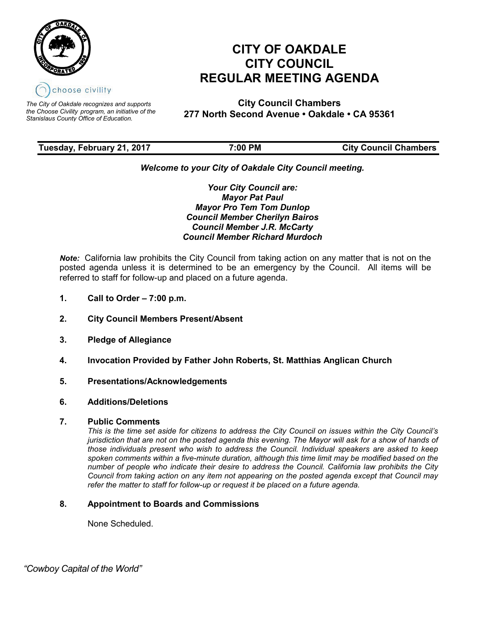

*The City of Oakdale recognizes and supports the Choose Civility program, an initiative of the Stanislaus County Office of Education.*

# **CITY OF OAKDALE CITY COUNCIL REGULAR MEETING AGENDA**

**City Council Chambers 277 North Second Avenue • Oakdale • CA 95361**

# **Tuesday, February 21, 2017 7:00 PM City Council Chambers**

# *Welcome to your City of Oakdale City Council meeting.*

*Your City Council are: Mayor Pat Paul Mayor Pro Tem Tom Dunlop Council Member Cherilyn Bairos Council Member J.R. McCarty Council Member Richard Murdoch*

*Note:* California law prohibits the City Council from taking action on any matter that is not on the posted agenda unless it is determined to be an emergency by the Council. All items will be referred to staff for follow-up and placed on a future agenda.

- **1. Call to Order – 7:00 p.m.**
- **2. City Council Members Present/Absent**
- **3. Pledge of Allegiance**
- **4. Invocation Provided by Father John Roberts, St. Matthias Anglican Church**
- **5. Presentations/Acknowledgements**
- **6. Additions/Deletions**

# **7. Public Comments**

*This is the time set aside for citizens to address the City Council on issues within the City Council's jurisdiction that are not on the posted agenda this evening. The Mayor will ask for a show of hands of those individuals present who wish to address the Council. Individual speakers are asked to keep spoken comments within a five-minute duration, although this time limit may be modified based on the number of people who indicate their desire to address the Council. California law prohibits the City Council from taking action on any item not appearing on the posted agenda except that Council may refer the matter to staff for follow-up or request it be placed on a future agenda.*

# **8. Appointment to Boards and Commissions**

None Scheduled.

 *"Cowboy Capital of the World"*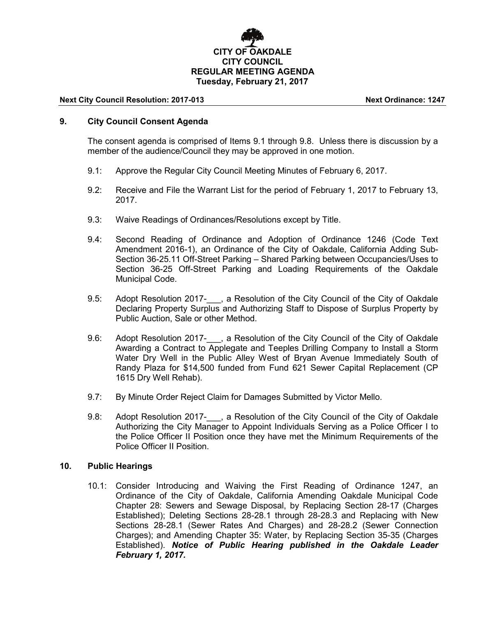

#### **Next City Council Resolution: 2017-013 Next Ordinance: 1247**

# **9. City Council Consent Agenda**

The consent agenda is comprised of Items 9.1 through 9.8. Unless there is discussion by a member of the audience/Council they may be approved in one motion.

- 9.1: Approve the Regular City Council Meeting Minutes of February 6, 2017.
- 9.2: Receive and File the Warrant List for the period of February 1, 2017 to February 13, 2017.
- 9.3: Waive Readings of Ordinances/Resolutions except by Title.
- 9.4: Second Reading of Ordinance and Adoption of Ordinance 1246 (Code Text Amendment 2016-1), an Ordinance of the City of Oakdale, California Adding Sub-Section 36-25.11 Off-Street Parking – Shared Parking between Occupancies/Uses to Section 36-25 Off-Street Parking and Loading Requirements of the Oakdale Municipal Code.
- 9.5: Adopt Resolution 2017-<sub>.</sub>, a Resolution of the City Council of the City of Oakdale Declaring Property Surplus and Authorizing Staff to Dispose of Surplus Property by Public Auction, Sale or other Method.
- 9.6: Adopt Resolution 2017-<sub>1, a</sub> Resolution of the City Council of the City of Oakdale Awarding a Contract to Applegate and Teeples Drilling Company to Install a Storm Water Dry Well in the Public Alley West of Bryan Avenue Immediately South of Randy Plaza for \$14,500 funded from Fund 621 Sewer Capital Replacement (CP 1615 Dry Well Rehab).
- 9.7: By Minute Order Reject Claim for Damages Submitted by Victor Mello.
- 9.8: Adopt Resolution 2017-, a Resolution of the City Council of the City of Oakdale Authorizing the City Manager to Appoint Individuals Serving as a Police Officer I to the Police Officer II Position once they have met the Minimum Requirements of the Police Officer II Position.

#### **10. Public Hearings**

10.1: Consider Introducing and Waiving the First Reading of Ordinance 1247, an Ordinance of the City of Oakdale, California Amending Oakdale Municipal Code Chapter 28: Sewers and Sewage Disposal, by Replacing Section 28-17 (Charges Established); Deleting Sections 28-28.1 through 28-28.3 and Replacing with New Sections 28-28.1 (Sewer Rates And Charges) and 28-28.2 (Sewer Connection Charges); and Amending Chapter 35: Water, by Replacing Section 35-35 (Charges Established). *Notice of Public Hearing published in the Oakdale Leader February 1, 2017.*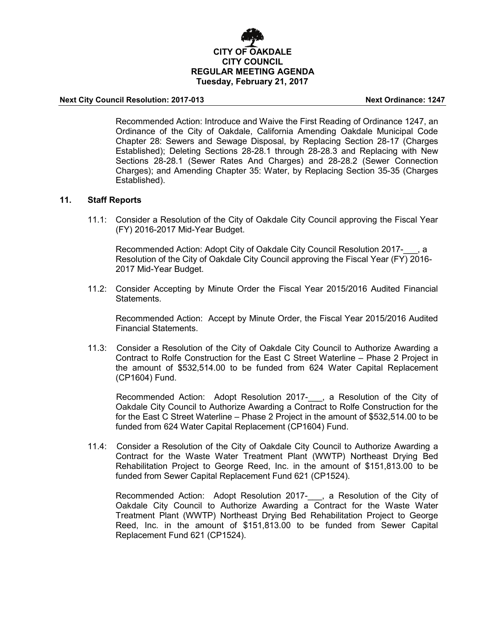

#### **Next City Council Resolution: 2017-013 Next Ordinance: 1247**

Recommended Action: Introduce and Waive the First Reading of Ordinance 1247, an Ordinance of the City of Oakdale, California Amending Oakdale Municipal Code Chapter 28: Sewers and Sewage Disposal, by Replacing Section 28-17 (Charges Established); Deleting Sections 28-28.1 through 28-28.3 and Replacing with New Sections 28-28.1 (Sewer Rates And Charges) and 28-28.2 (Sewer Connection Charges); and Amending Chapter 35: Water, by Replacing Section 35-35 (Charges Established).

#### **11. Staff Reports**

11.1: Consider a Resolution of the City of Oakdale City Council approving the Fiscal Year (FY) 2016-2017 Mid-Year Budget.

Recommended Action: Adopt City of Oakdale City Council Resolution 2017-, a Resolution of the City of Oakdale City Council approving the Fiscal Year (FY) 2016- 2017 Mid-Year Budget.

11.2: Consider Accepting by Minute Order the Fiscal Year 2015/2016 Audited Financial **Statements** 

Recommended Action: Accept by Minute Order, the Fiscal Year 2015/2016 Audited Financial Statements.

11.3: Consider a Resolution of the City of Oakdale City Council to Authorize Awarding a Contract to Rolfe Construction for the East C Street Waterline – Phase 2 Project in the amount of \$532,514.00 to be funded from 624 Water Capital Replacement (CP1604) Fund.

 Recommended Action: Adopt Resolution 2017-\_\_\_, a Resolution of the City of Oakdale City Council to Authorize Awarding a Contract to Rolfe Construction for the for the East C Street Waterline – Phase 2 Project in the amount of \$532,514.00 to be funded from 624 Water Capital Replacement (CP1604) Fund.

11.4: Consider a Resolution of the City of Oakdale City Council to Authorize Awarding a Contract for the Waste Water Treatment Plant (WWTP) Northeast Drying Bed Rehabilitation Project to George Reed, Inc. in the amount of \$151,813.00 to be funded from Sewer Capital Replacement Fund 621 (CP1524).

Recommended Action: Adopt Resolution 2017- , a Resolution of the City of Oakdale City Council to Authorize Awarding a Contract for the Waste Water Treatment Plant (WWTP) Northeast Drying Bed Rehabilitation Project to George Reed, Inc. in the amount of \$151,813.00 to be funded from Sewer Capital Replacement Fund 621 (CP1524).